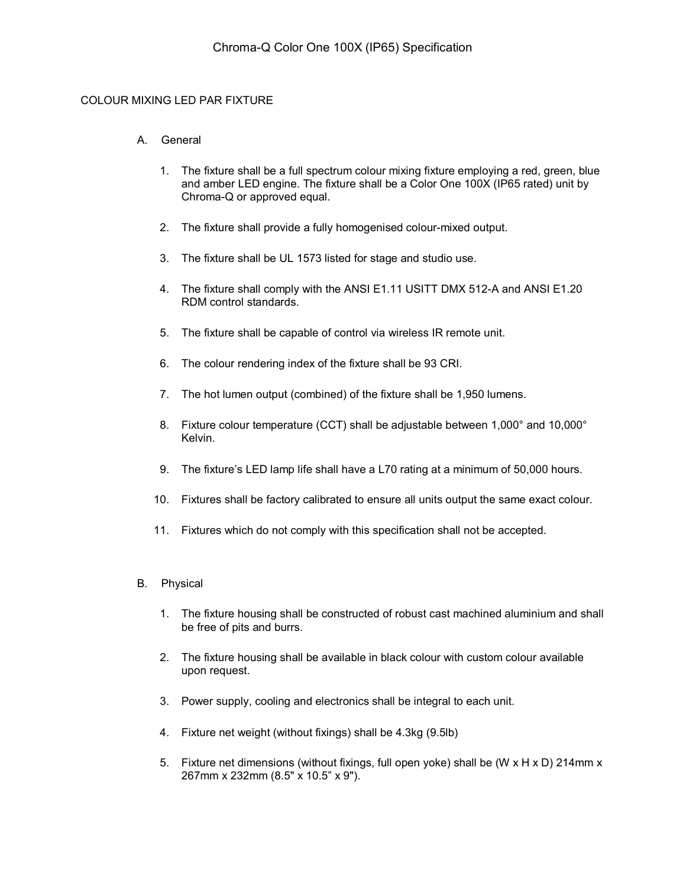## COLOUR MIXING LED PAR FIXTURE

## A. General

- 1. The fixture shall be a full spectrum colour mixing fixture employing a red, green, blue and amber LED engine. The fixture shall be a Color One 100X (IP65 rated) unit by Chroma-Q or approved equal.
- 2. The fixture shall provide a fully homogenised colour-mixed output.
- 3. The fixture shall be UL 1573 listed for stage and studio use.
- 4. The fixture shall comply with the ANSI E1.11 USITT DMX 512-A and ANSI E1.20 RDM control standards.
- 5. The fixture shall be capable of control via wireless IR remote unit.
- 6. The colour rendering index of the fixture shall be 93 CRI.
- 7. The hot lumen output (combined) of the fixture shall be 1,950 lumens.
- 8. Fixture colour temperature (CCT) shall be adjustable between 1,000° and 10,000° Kelvin.
- 9. The fixture's LED lamp life shall have a L70 rating at a minimum of 50,000 hours.
- 10. Fixtures shall be factory calibrated to ensure all units output the same exact colour.
- 11. Fixtures which do not comply with this specification shall not be accepted.

### B. Physical

- 1. The fixture housing shall be constructed of robust cast machined aluminium and shall be free of pits and burrs.
- 2. The fixture housing shall be available in black colour with custom colour available upon request.
- 3. Power supply, cooling and electronics shall be integral to each unit.
- 4. Fixture net weight (without fixings) shall be 4.3kg (9.5lb)
- 5. Fixture net dimensions (without fixings, full open yoke) shall be (W x H x D) 214mm x 267mm x 232mm (8.5" x 10.5" x 9").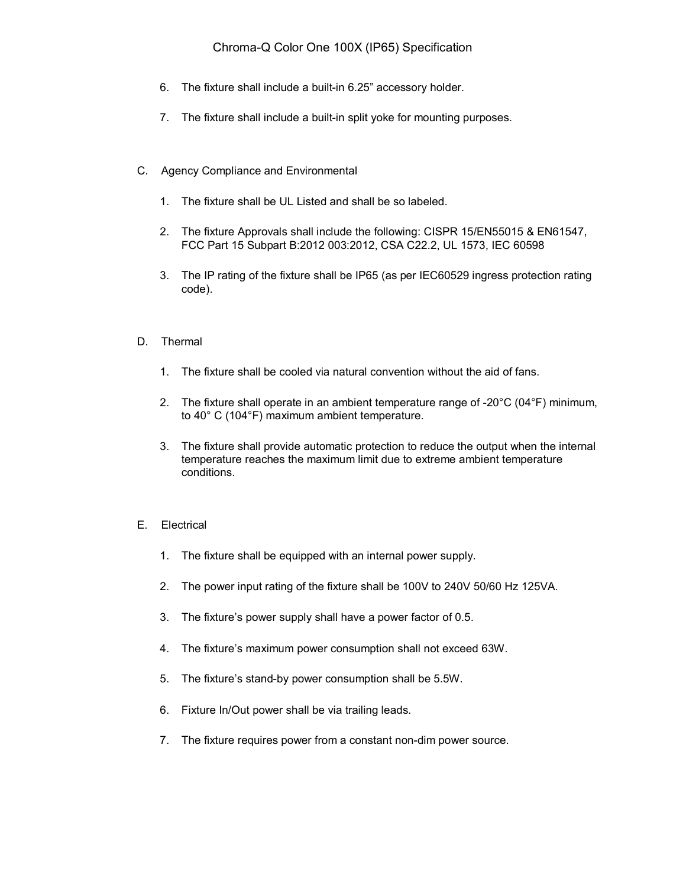# Chroma-Q Color One 100X (IP65) Specification

- 6. The fixture shall include a built-in 6.25" accessory holder.
- 7. The fixture shall include a built-in split yoke for mounting purposes.
- C. Agency Compliance and Environmental
	- 1. The fixture shall be UL Listed and shall be so labeled.
	- 2. The fixture Approvals shall include the following: CISPR 15/EN55015 & EN61547, FCC Part 15 Subpart B:2012 003:2012, CSA C22.2, UL 1573, IEC 60598
	- 3. The IP rating of the fixture shall be IP65 (as per IEC60529 ingress protection rating code).
- D. Thermal
	- 1. The fixture shall be cooled via natural convention without the aid of fans.
	- 2. The fixture shall operate in an ambient temperature range of -20 $\degree$ C (04 $\degree$ F) minimum, to 40° C (104°F) maximum ambient temperature.
	- 3. The fixture shall provide automatic protection to reduce the output when the internal temperature reaches the maximum limit due to extreme ambient temperature conditions.

### E. Electrical

- 1. The fixture shall be equipped with an internal power supply.
- 2. The power input rating of the fixture shall be 100V to 240V 50/60 Hz 125VA.
- 3. The fixture's power supply shall have a power factor of 0.5.
- 4. The fixture's maximum power consumption shall not exceed 63W.
- 5. The fixture's stand-by power consumption shall be 5.5W.
- 6. Fixture In/Out power shall be via trailing leads.
- 7. The fixture requires power from a constant non-dim power source.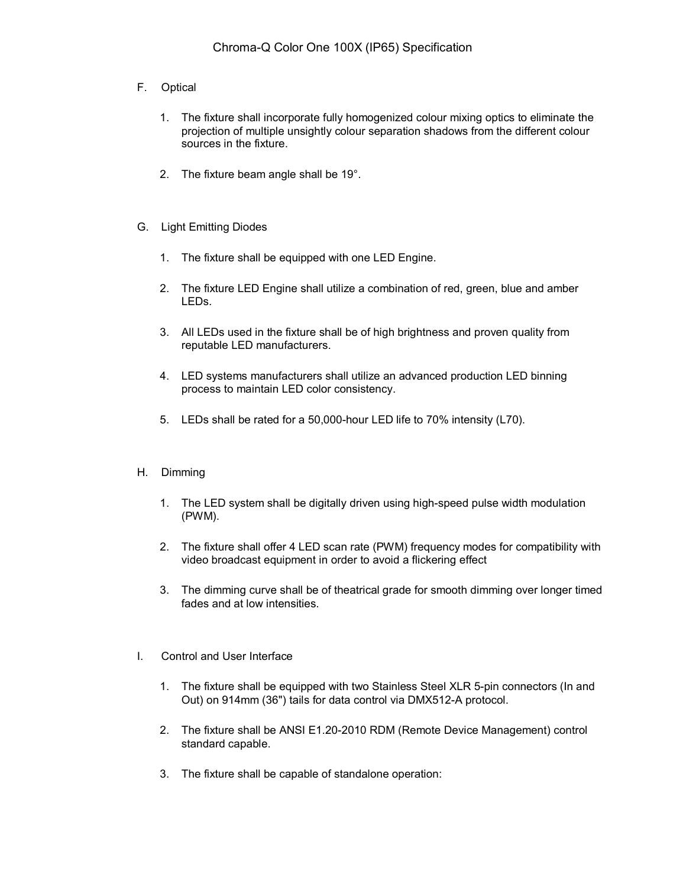- F. Optical
	- 1. The fixture shall incorporate fully homogenized colour mixing optics to eliminate the projection of multiple unsightly colour separation shadows from the different colour sources in the fixture.
	- 2. The fixture beam angle shall be 19°.
- G. Light Emitting Diodes
	- 1. The fixture shall be equipped with one LED Engine.
	- 2. The fixture LED Engine shall utilize a combination of red, green, blue and amber LEDs.
	- 3. All LEDs used in the fixture shall be of high brightness and proven quality from reputable LED manufacturers.
	- 4. LED systems manufacturers shall utilize an advanced production LED binning process to maintain LED color consistency.
	- 5. LEDs shall be rated for a 50,000-hour LED life to 70% intensity (L70).
- H. Dimming
	- 1. The LED system shall be digitally driven using high-speed pulse width modulation (PWM).
	- 2. The fixture shall offer 4 LED scan rate (PWM) frequency modes for compatibility with video broadcast equipment in order to avoid a flickering effect
	- 3. The dimming curve shall be of theatrical grade for smooth dimming over longer timed fades and at low intensities.
- I. Control and User Interface
	- 1. The fixture shall be equipped with two Stainless Steel XLR 5-pin connectors (In and Out) on 914mm (36") tails for data control via DMX512-A protocol.
	- 2. The fixture shall be ANSI E1.20-2010 RDM (Remote Device Management) control standard capable.
	- 3. The fixture shall be capable of standalone operation: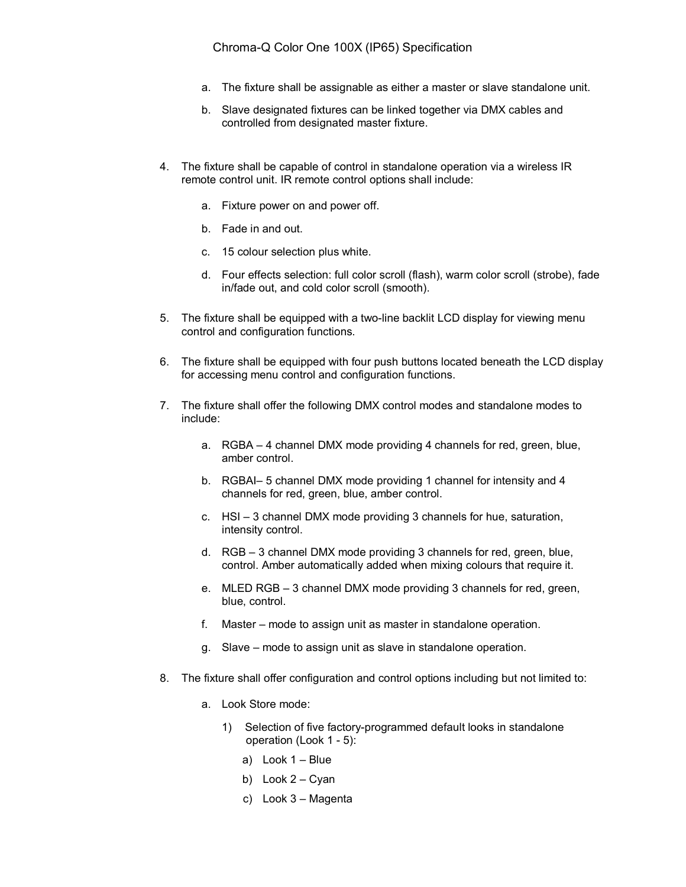- a. The fixture shall be assignable as either a master or slave standalone unit.
- b. Slave designated fixtures can be linked together via DMX cables and controlled from designated master fixture.
- 4. The fixture shall be capable of control in standalone operation via a wireless IR remote control unit. IR remote control options shall include:
	- a. Fixture power on and power off.
	- b. Fade in and out.
	- c. 15 colour selection plus white.
	- d. Four effects selection: full color scroll (flash), warm color scroll (strobe), fade in/fade out, and cold color scroll (smooth).
- 5. The fixture shall be equipped with a two-line backlit LCD display for viewing menu control and configuration functions.
- 6. The fixture shall be equipped with four push buttons located beneath the LCD display for accessing menu control and configuration functions.
- 7. The fixture shall offer the following DMX control modes and standalone modes to include:
	- a. RGBA 4 channel DMX mode providing 4 channels for red, green, blue, amber control.
	- b. RGBAI– 5 channel DMX mode providing 1 channel for intensity and 4 channels for red, green, blue, amber control.
	- c. HSI 3 channel DMX mode providing 3 channels for hue, saturation, intensity control.
	- d. RGB 3 channel DMX mode providing 3 channels for red, green, blue, control. Amber automatically added when mixing colours that require it.
	- e. MLED RGB 3 channel DMX mode providing 3 channels for red, green, blue, control.
	- f. Master mode to assign unit as master in standalone operation.
	- g. Slave mode to assign unit as slave in standalone operation.
- 8. The fixture shall offer configuration and control options including but not limited to:
	- a. Look Store mode:
		- 1) Selection of five factory-programmed default looks in standalone operation (Look 1 - 5):
			- a) Look 1 Blue
			- b) Look 2 Cyan
			- c) Look 3 Magenta